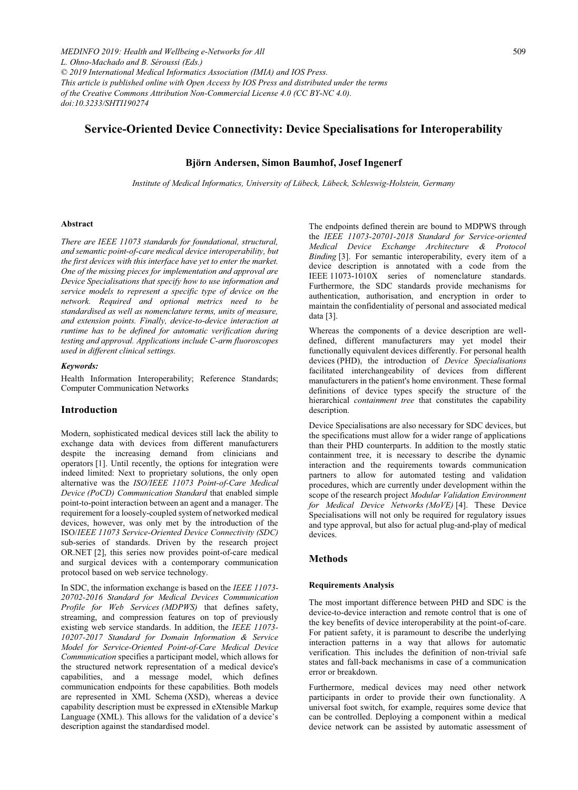# **Service-Oriented Device Connectivity: Device Specialisations for Interoperability**

### **Björn Andersen, Simon Baumhof, Josef Ingenerf**

*Institute of Medical Informatics, University of Lübeck, Lübeck, Schleswig-Holstein, Germany* 

#### **Abstract**

*There are IEEE 11073 standards for foundational, structural, and semantic point-of-care medical device interoperability, but the first devices with this interface have yet to enter the market. One of the missing pieces for implementation and approval are Device Specialisations that specify how to use information and service models to represent a specific type of device on the network. Required and optional metrics need to be standardised as well as nomenclature terms, units of measure, and extension points. Finally, device-to-device interaction at runtime has to be defined for automatic verification during testing and approval. Applications include C-arm fluoroscopes used in different clinical settings.* 

#### *Keywords:*

Health Information Interoperability; Reference Standards; Computer Communication Networks

#### **Introduction**

Modern, sophisticated medical devices still lack the ability to exchange data with devices from different manufacturers despite the increasing demand from clinicians and operators [1]. Until recently, the options for integration were indeed limited: Next to proprietary solutions, the only open alternative was the *ISO/IEEE 11073 Point-of-Care Medical Device (PoCD) Communication Standard* that enabled simple point-to-point interaction between an agent and a manager. The requirement for a loosely-coupled system of networked medical devices, however, was only met by the introduction of the ISO/*IEEE 11073 Service-Oriented Device Connectivity (SDC)* sub-series of standards. Driven by the research project OR.NET [2], this series now provides point-of-care medical and surgical devices with a contemporary communication protocol based on web service technology.

In SDC, the information exchange is based on the *IEEE 11073- 20702-2016 Standard for Medical Devices Communication Profile for Web Services (MDPWS)* that defines safety, streaming, and compression features on top of previously existing web service standards. In addition, the *IEEE 11073- 10207-2017 Standard for Domain Information & Service Model for Service-Oriented Point-of-Care Medical Device Communication* specifies a participant model, which allows for the structured network representation of a medical device's capabilities, and a message model, which defines communication endpoints for these capabilities. Both models are represented in XML Schema (XSD), whereas a device capability description must be expressed in eXtensible Markup Language (XML). This allows for the validation of a device's description against the standardised model.

The endpoints defined therein are bound to MDPWS through the *IEEE 11073-20701-2018 Standard for Service-oriented Medical Device Exchange Architecture & Protocol Binding* [3]. For semantic interoperability, every item of a device description is annotated with a code from the IEEE 11073-1010X series of nomenclature standards. Furthermore, the SDC standards provide mechanisms for authentication, authorisation, and encryption in order to maintain the confidentiality of personal and associated medical data [3].

Whereas the components of a device description are welldefined, different manufacturers may yet model their functionally equivalent devices differently. For personal health devices (PHD), the introduction of *Device Specialisations* facilitated interchangeability of devices from different manufacturers in the patient's home environment. These formal definitions of device types specify the structure of the hierarchical *containment tree* that constitutes the capability description.

Device Specialisations are also necessary for SDC devices, but the specifications must allow for a wider range of applications than their PHD counterparts. In addition to the mostly static containment tree, it is necessary to describe the dynamic interaction and the requirements towards communication partners to allow for automated testing and validation procedures, which are currently under development within the scope of the research project *Modular Validation Environment for Medical Device Networks (MoVE)* [4]. These Device Specialisations will not only be required for regulatory issues and type approval, but also for actual plug-and-play of medical devices.

### **Methods**

#### **Requirements Analysis**

The most important difference between PHD and SDC is the device-to-device interaction and remote control that is one of the key benefits of device interoperability at the point-of-care. For patient safety, it is paramount to describe the underlying interaction patterns in a way that allows for automatic verification. This includes the definition of non-trivial safe states and fall-back mechanisms in case of a communication error or breakdown.

Furthermore, medical devices may need other network participants in order to provide their own functionality. A universal foot switch, for example, requires some device that can be controlled. Deploying a component within a medical device network can be assisted by automatic assessment of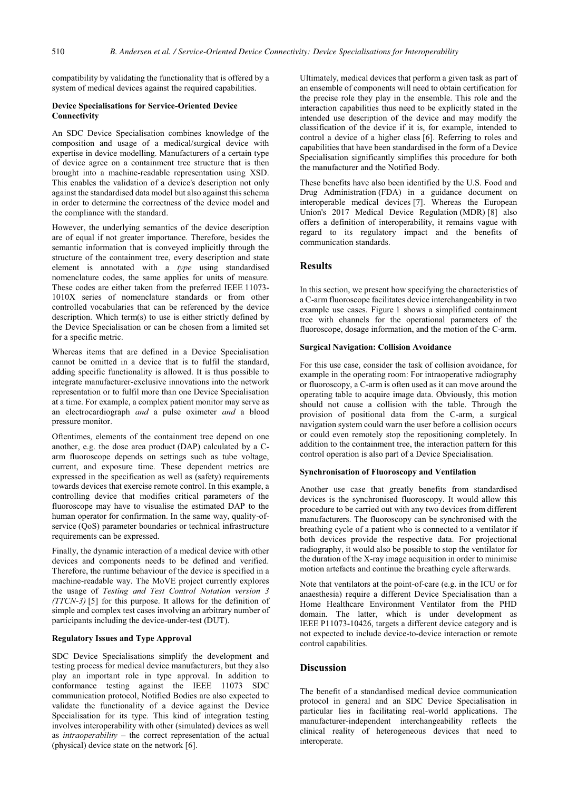compatibility by validating the functionality that is offered by a system of medical devices against the required capabilities.

#### **Device Specialisations for Service-Oriented Device Connectivity**

An SDC Device Specialisation combines knowledge of the composition and usage of a medical/surgical device with expertise in device modelling. Manufacturers of a certain type of device agree on a containment tree structure that is then brought into a machine-readable representation using XSD. This enables the validation of a device's description not only against the standardised data model but also against this schema in order to determine the correctness of the device model and the compliance with the standard.

However, the underlying semantics of the device description are of equal if not greater importance. Therefore, besides the semantic information that is conveyed implicitly through the structure of the containment tree, every description and state element is annotated with a *type* using standardised nomenclature codes, the same applies for units of measure. These codes are either taken from the preferred IEEE 11073- 1010X series of nomenclature standards or from other controlled vocabularies that can be referenced by the device description. Which term(s) to use is either strictly defined by the Device Specialisation or can be chosen from a limited set for a specific metric.

Whereas items that are defined in a Device Specialisation cannot be omitted in a device that is to fulfil the standard, adding specific functionality is allowed. It is thus possible to integrate manufacturer-exclusive innovations into the network representation or to fulfil more than one Device Specialisation at a time. For example, a complex patient monitor may serve as an electrocardiograph *and* a pulse oximeter *and* a blood pressure monitor.

Oftentimes, elements of the containment tree depend on one another, e.g. the dose area product (DAP) calculated by a Carm fluoroscope depends on settings such as tube voltage, current, and exposure time. These dependent metrics are expressed in the specification as well as (safety) requirements towards devices that exercise remote control. In this example, a controlling device that modifies critical parameters of the fluoroscope may have to visualise the estimated DAP to the human operator for confirmation. In the same way, quality-ofservice (QoS) parameter boundaries or technical infrastructure requirements can be expressed.

Finally, the dynamic interaction of a medical device with other devices and components needs to be defined and verified. Therefore, the runtime behaviour of the device is specified in a machine-readable way. The MoVE project currently explores the usage of *Testing and Test Control Notation version 3 (TTCN-3)* [5] for this purpose. It allows for the definition of simple and complex test cases involving an arbitrary number of participants including the device-under-test (DUT).

#### **Regulatory Issues and Type Approval**

SDC Device Specialisations simplify the development and testing process for medical device manufacturers, but they also play an important role in type approval. In addition to conformance testing against the IEEE 11073 SDC communication protocol, Notified Bodies are also expected to validate the functionality of a device against the Device Specialisation for its type. This kind of integration testing involves interoperability with other (simulated) devices as well as *intraoperability* – the correct representation of the actual (physical) device state on the network [6].

Ultimately, medical devices that perform a given task as part of an ensemble of components will need to obtain certification for the precise role they play in the ensemble. This role and the interaction capabilities thus need to be explicitly stated in the intended use description of the device and may modify the classification of the device if it is, for example, intended to control a device of a higher class [6]. Referring to roles and capabilities that have been standardised in the form of a Device Specialisation significantly simplifies this procedure for both the manufacturer and the Notified Body.

These benefits have also been identified by the U.S. Food and Drug Administration (FDA) in a guidance document on interoperable medical devices [7]. Whereas the European Union's 2017 Medical Device Regulation (MDR) [8] also offers a definition of interoperability, it remains vague with regard to its regulatory impact and the benefits of communication standards.

#### **Results**

In this section, we present how specifying the characteristics of a C-arm fluoroscope facilitates device interchangeability in two example use cases. Figure 1 shows a simplified containment tree with channels for the operational parameters of the fluoroscope, dosage information, and the motion of the C-arm.

#### **Surgical Navigation: Collision Avoidance**

For this use case, consider the task of collision avoidance, for example in the operating room: For intraoperative radiography or fluoroscopy, a C-arm is often used as it can move around the operating table to acquire image data. Obviously, this motion should not cause a collision with the table. Through the provision of positional data from the C-arm, a surgical navigation system could warn the user before a collision occurs or could even remotely stop the repositioning completely. In addition to the containment tree, the interaction pattern for this control operation is also part of a Device Specialisation.

#### **Synchronisation of Fluoroscopy and Ventilation**

Another use case that greatly benefits from standardised devices is the synchronised fluoroscopy. It would allow this procedure to be carried out with any two devices from different manufacturers. The fluoroscopy can be synchronised with the breathing cycle of a patient who is connected to a ventilator if both devices provide the respective data. For projectional radiography, it would also be possible to stop the ventilator for the duration of the X-ray image acquisition in order to minimise motion artefacts and continue the breathing cycle afterwards.

Note that ventilators at the point-of-care (e.g. in the ICU or for anaesthesia) require a different Device Specialisation than a Home Healthcare Environment Ventilator from the PHD domain. The latter, which is under development as IEEE P11073-10426, targets a different device category and is not expected to include device-to-device interaction or remote control capabilities.

### **Discussion**

The benefit of a standardised medical device communication protocol in general and an SDC Device Specialisation in particular lies in facilitating real-world applications. The manufacturer-independent interchangeability reflects the clinical reality of heterogeneous devices that need to interoperate.